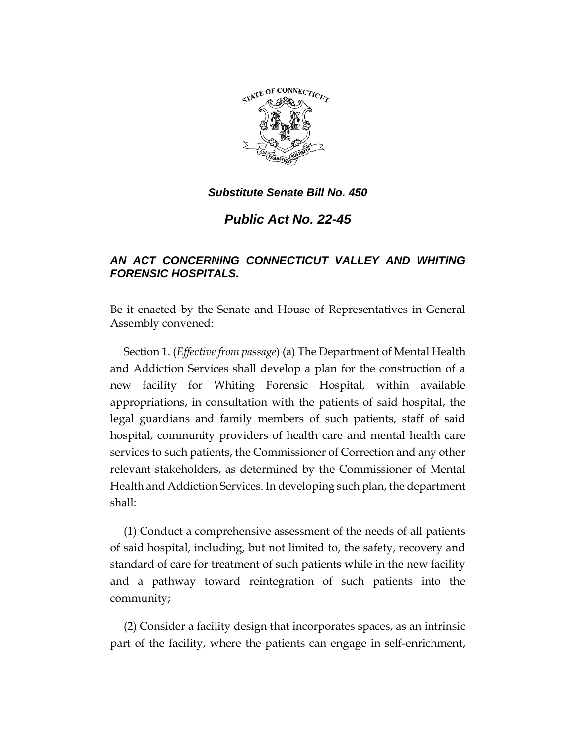

*Public Act No. 22-45*

# *AN ACT CONCERNING CONNECTICUT VALLEY AND WHITING FORENSIC HOSPITALS.*

Be it enacted by the Senate and House of Representatives in General Assembly convened:

Section 1. (*Effective from passage*) (a) The Department of Mental Health and Addiction Services shall develop a plan for the construction of a new facility for Whiting Forensic Hospital, within available appropriations, in consultation with the patients of said hospital, the legal guardians and family members of such patients, staff of said hospital, community providers of health care and mental health care services to such patients, the Commissioner of Correction and any other relevant stakeholders, as determined by the Commissioner of Mental Health and Addiction Services. In developing such plan, the department shall:

(1) Conduct a comprehensive assessment of the needs of all patients of said hospital, including, but not limited to, the safety, recovery and standard of care for treatment of such patients while in the new facility and a pathway toward reintegration of such patients into the community;

(2) Consider a facility design that incorporates spaces, as an intrinsic part of the facility, where the patients can engage in self-enrichment,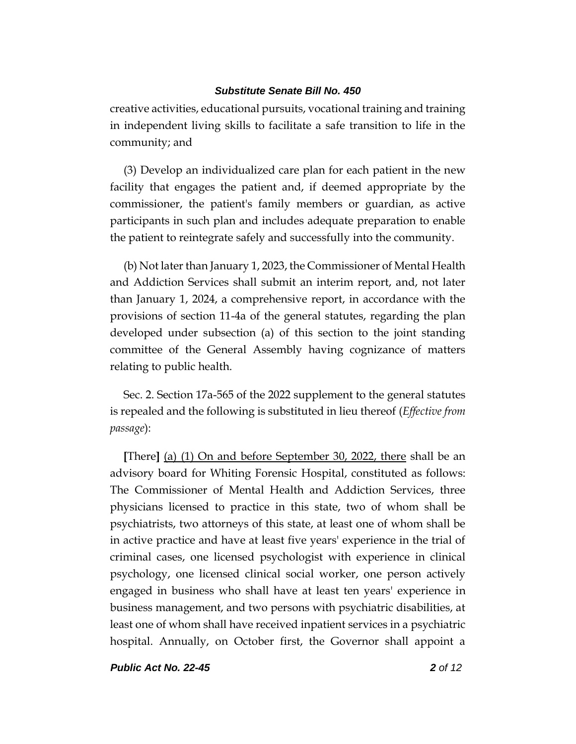creative activities, educational pursuits, vocational training and training in independent living skills to facilitate a safe transition to life in the community; and

(3) Develop an individualized care plan for each patient in the new facility that engages the patient and, if deemed appropriate by the commissioner, the patient's family members or guardian, as active participants in such plan and includes adequate preparation to enable the patient to reintegrate safely and successfully into the community.

(b) Not later than January 1, 2023, the Commissioner of Mental Health and Addiction Services shall submit an interim report, and, not later than January 1, 2024, a comprehensive report, in accordance with the provisions of section 11-4a of the general statutes, regarding the plan developed under subsection (a) of this section to the joint standing committee of the General Assembly having cognizance of matters relating to public health.

Sec. 2. Section 17a-565 of the 2022 supplement to the general statutes is repealed and the following is substituted in lieu thereof (*Effective from passage*):

**[**There**]** (a) (1) On and before September 30, 2022, there shall be an advisory board for Whiting Forensic Hospital, constituted as follows: The Commissioner of Mental Health and Addiction Services, three physicians licensed to practice in this state, two of whom shall be psychiatrists, two attorneys of this state, at least one of whom shall be in active practice and have at least five years' experience in the trial of criminal cases, one licensed psychologist with experience in clinical psychology, one licensed clinical social worker, one person actively engaged in business who shall have at least ten years' experience in business management, and two persons with psychiatric disabilities, at least one of whom shall have received inpatient services in a psychiatric hospital. Annually, on October first, the Governor shall appoint a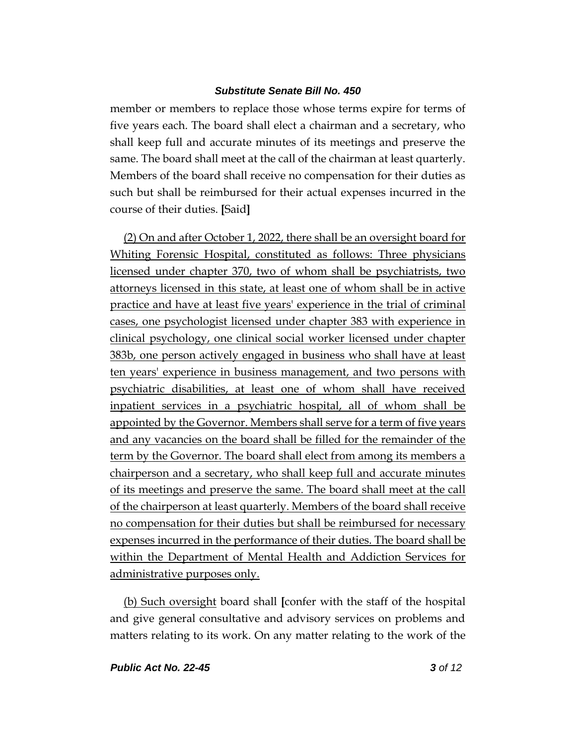member or members to replace those whose terms expire for terms of five years each. The board shall elect a chairman and a secretary, who shall keep full and accurate minutes of its meetings and preserve the same. The board shall meet at the call of the chairman at least quarterly. Members of the board shall receive no compensation for their duties as such but shall be reimbursed for their actual expenses incurred in the course of their duties. **[**Said**]**

(2) On and after October 1, 2022, there shall be an oversight board for Whiting Forensic Hospital, constituted as follows: Three physicians licensed under chapter 370, two of whom shall be psychiatrists, two attorneys licensed in this state, at least one of whom shall be in active practice and have at least five years' experience in the trial of criminal cases, one psychologist licensed under chapter 383 with experience in clinical psychology, one clinical social worker licensed under chapter 383b, one person actively engaged in business who shall have at least ten years' experience in business management, and two persons with psychiatric disabilities, at least one of whom shall have received inpatient services in a psychiatric hospital, all of whom shall be appointed by the Governor. Members shall serve for a term of five years and any vacancies on the board shall be filled for the remainder of the term by the Governor. The board shall elect from among its members a chairperson and a secretary, who shall keep full and accurate minutes of its meetings and preserve the same. The board shall meet at the call of the chairperson at least quarterly. Members of the board shall receive no compensation for their duties but shall be reimbursed for necessary expenses incurred in the performance of their duties. The board shall be within the Department of Mental Health and Addiction Services for administrative purposes only.

(b) Such oversight board shall **[**confer with the staff of the hospital and give general consultative and advisory services on problems and matters relating to its work. On any matter relating to the work of the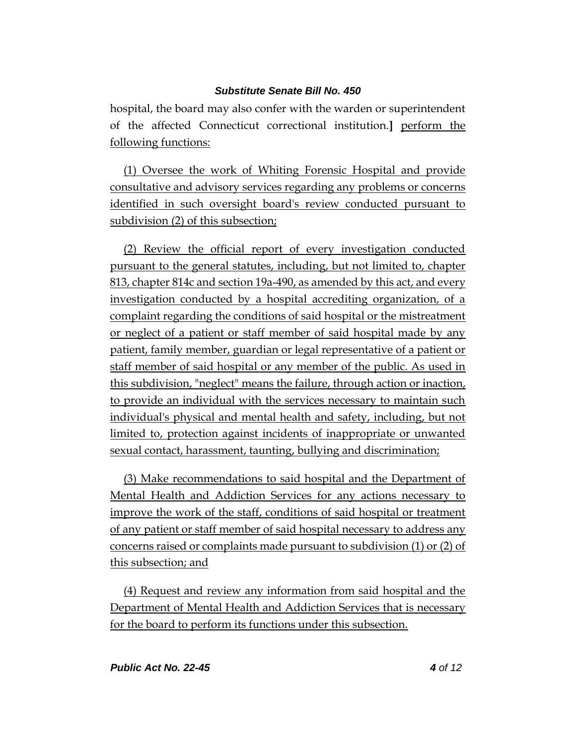hospital, the board may also confer with the warden or superintendent of the affected Connecticut correctional institution.**]** perform the following functions:

(1) Oversee the work of Whiting Forensic Hospital and provide consultative and advisory services regarding any problems or concerns identified in such oversight board's review conducted pursuant to subdivision (2) of this subsection;

(2) Review the official report of every investigation conducted pursuant to the general statutes, including, but not limited to, chapter 813, chapter 814c and section 19a-490, as amended by this act, and every investigation conducted by a hospital accrediting organization, of a complaint regarding the conditions of said hospital or the mistreatment or neglect of a patient or staff member of said hospital made by any patient, family member, guardian or legal representative of a patient or staff member of said hospital or any member of the public. As used in this subdivision, "neglect" means the failure, through action or inaction, to provide an individual with the services necessary to maintain such individual's physical and mental health and safety, including, but not limited to, protection against incidents of inappropriate or unwanted sexual contact, harassment, taunting, bullying and discrimination;

(3) Make recommendations to said hospital and the Department of Mental Health and Addiction Services for any actions necessary to improve the work of the staff, conditions of said hospital or treatment of any patient or staff member of said hospital necessary to address any concerns raised or complaints made pursuant to subdivision (1) or (2) of this subsection; and

(4) Request and review any information from said hospital and the Department of Mental Health and Addiction Services that is necessary for the board to perform its functions under this subsection.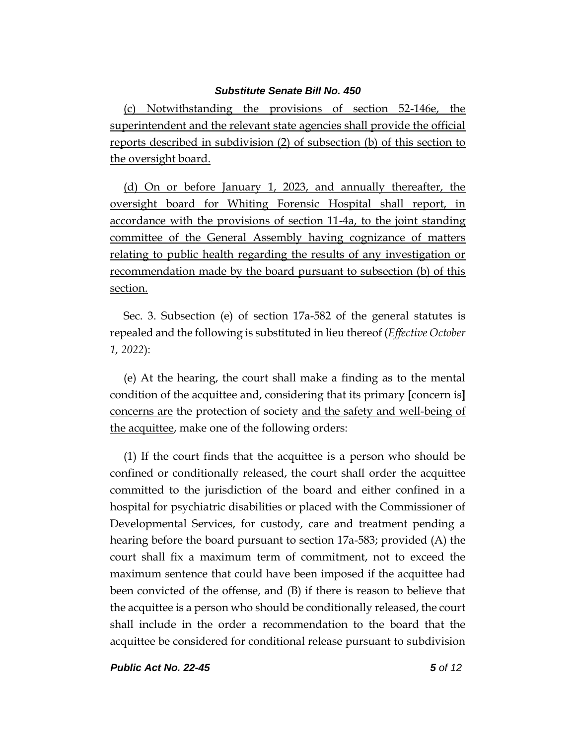(c) Notwithstanding the provisions of section 52-146e, the superintendent and the relevant state agencies shall provide the official reports described in subdivision (2) of subsection (b) of this section to the oversight board.

(d) On or before January 1, 2023, and annually thereafter, the oversight board for Whiting Forensic Hospital shall report, in accordance with the provisions of section 11-4a, to the joint standing committee of the General Assembly having cognizance of matters relating to public health regarding the results of any investigation or recommendation made by the board pursuant to subsection (b) of this section.

Sec. 3. Subsection (e) of section 17a-582 of the general statutes is repealed and the following is substituted in lieu thereof (*Effective October 1, 2022*):

(e) At the hearing, the court shall make a finding as to the mental condition of the acquittee and, considering that its primary **[**concern is**]** concerns are the protection of society and the safety and well-being of the acquittee, make one of the following orders:

(1) If the court finds that the acquittee is a person who should be confined or conditionally released, the court shall order the acquittee committed to the jurisdiction of the board and either confined in a hospital for psychiatric disabilities or placed with the Commissioner of Developmental Services, for custody, care and treatment pending a hearing before the board pursuant to section 17a-583; provided (A) the court shall fix a maximum term of commitment, not to exceed the maximum sentence that could have been imposed if the acquittee had been convicted of the offense, and (B) if there is reason to believe that the acquittee is a person who should be conditionally released, the court shall include in the order a recommendation to the board that the acquittee be considered for conditional release pursuant to subdivision

*Public Act No. 22-45 5 of 12*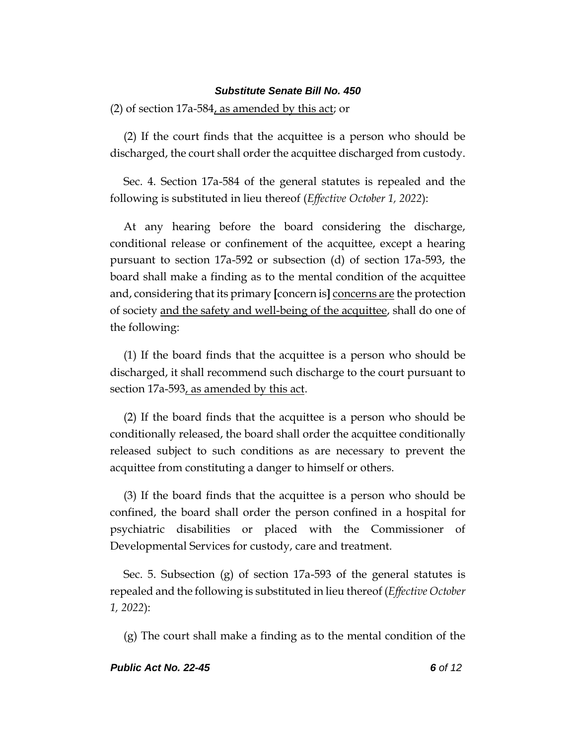(2) of section 17a-584, as amended by this act; or

(2) If the court finds that the acquittee is a person who should be discharged, the court shall order the acquittee discharged from custody.

Sec. 4. Section 17a-584 of the general statutes is repealed and the following is substituted in lieu thereof (*Effective October 1, 2022*):

At any hearing before the board considering the discharge, conditional release or confinement of the acquittee, except a hearing pursuant to section 17a-592 or subsection (d) of section 17a-593, the board shall make a finding as to the mental condition of the acquittee and, considering that its primary **[**concern is**]** concerns are the protection of society and the safety and well-being of the acquittee, shall do one of the following:

(1) If the board finds that the acquittee is a person who should be discharged, it shall recommend such discharge to the court pursuant to section 17a-593, as amended by this act.

(2) If the board finds that the acquittee is a person who should be conditionally released, the board shall order the acquittee conditionally released subject to such conditions as are necessary to prevent the acquittee from constituting a danger to himself or others.

(3) If the board finds that the acquittee is a person who should be confined, the board shall order the person confined in a hospital for psychiatric disabilities or placed with the Commissioner of Developmental Services for custody, care and treatment.

Sec. 5. Subsection (g) of section 17a-593 of the general statutes is repealed and the following is substituted in lieu thereof (*Effective October 1, 2022*):

(g) The court shall make a finding as to the mental condition of the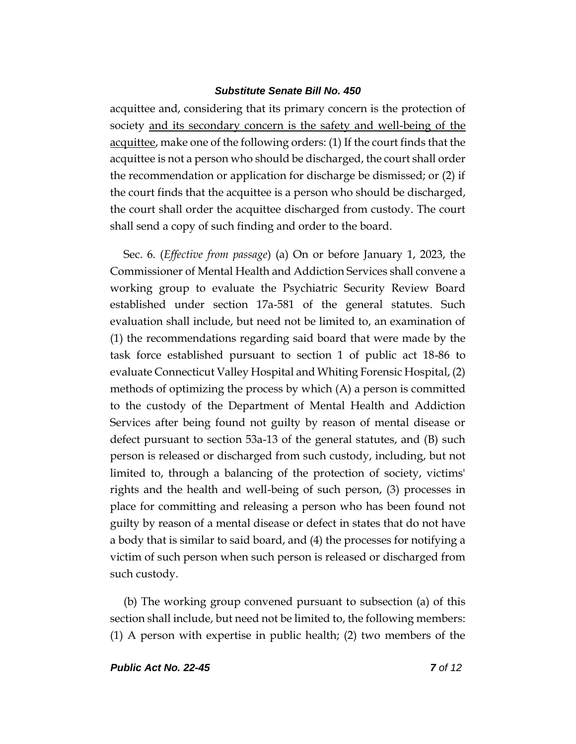acquittee and, considering that its primary concern is the protection of society and its secondary concern is the safety and well-being of the acquittee, make one of the following orders: (1) If the court finds that the acquittee is not a person who should be discharged, the court shall order the recommendation or application for discharge be dismissed; or (2) if the court finds that the acquittee is a person who should be discharged, the court shall order the acquittee discharged from custody. The court shall send a copy of such finding and order to the board.

Sec. 6. (*Effective from passage*) (a) On or before January 1, 2023, the Commissioner of Mental Health and Addiction Services shall convene a working group to evaluate the Psychiatric Security Review Board established under section 17a-581 of the general statutes. Such evaluation shall include, but need not be limited to, an examination of (1) the recommendations regarding said board that were made by the task force established pursuant to section 1 of public act 18-86 to evaluate Connecticut Valley Hospital and Whiting Forensic Hospital, (2) methods of optimizing the process by which (A) a person is committed to the custody of the Department of Mental Health and Addiction Services after being found not guilty by reason of mental disease or defect pursuant to section 53a-13 of the general statutes, and (B) such person is released or discharged from such custody, including, but not limited to, through a balancing of the protection of society, victims' rights and the health and well-being of such person, (3) processes in place for committing and releasing a person who has been found not guilty by reason of a mental disease or defect in states that do not have a body that is similar to said board, and (4) the processes for notifying a victim of such person when such person is released or discharged from such custody.

(b) The working group convened pursuant to subsection (a) of this section shall include, but need not be limited to, the following members: (1) A person with expertise in public health; (2) two members of the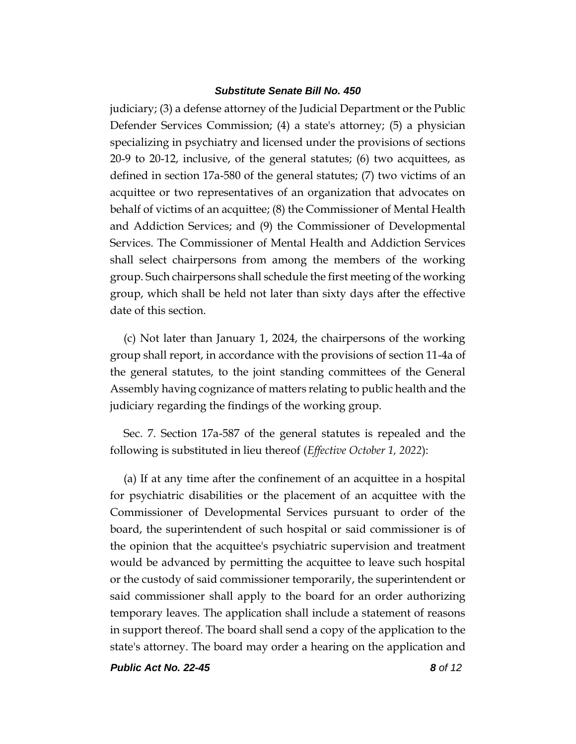judiciary; (3) a defense attorney of the Judicial Department or the Public Defender Services Commission; (4) a state's attorney; (5) a physician specializing in psychiatry and licensed under the provisions of sections 20-9 to 20-12, inclusive, of the general statutes; (6) two acquittees, as defined in section 17a-580 of the general statutes; (7) two victims of an acquittee or two representatives of an organization that advocates on behalf of victims of an acquittee; (8) the Commissioner of Mental Health and Addiction Services; and (9) the Commissioner of Developmental Services. The Commissioner of Mental Health and Addiction Services shall select chairpersons from among the members of the working group. Such chairpersons shall schedule the first meeting of the working group, which shall be held not later than sixty days after the effective date of this section.

(c) Not later than January 1, 2024, the chairpersons of the working group shall report, in accordance with the provisions of section 11-4a of the general statutes, to the joint standing committees of the General Assembly having cognizance of matters relating to public health and the judiciary regarding the findings of the working group.

Sec. 7. Section 17a-587 of the general statutes is repealed and the following is substituted in lieu thereof (*Effective October 1, 2022*):

(a) If at any time after the confinement of an acquittee in a hospital for psychiatric disabilities or the placement of an acquittee with the Commissioner of Developmental Services pursuant to order of the board, the superintendent of such hospital or said commissioner is of the opinion that the acquittee's psychiatric supervision and treatment would be advanced by permitting the acquittee to leave such hospital or the custody of said commissioner temporarily, the superintendent or said commissioner shall apply to the board for an order authorizing temporary leaves. The application shall include a statement of reasons in support thereof. The board shall send a copy of the application to the state's attorney. The board may order a hearing on the application and

*Public Act No. 22-45 8 of 12*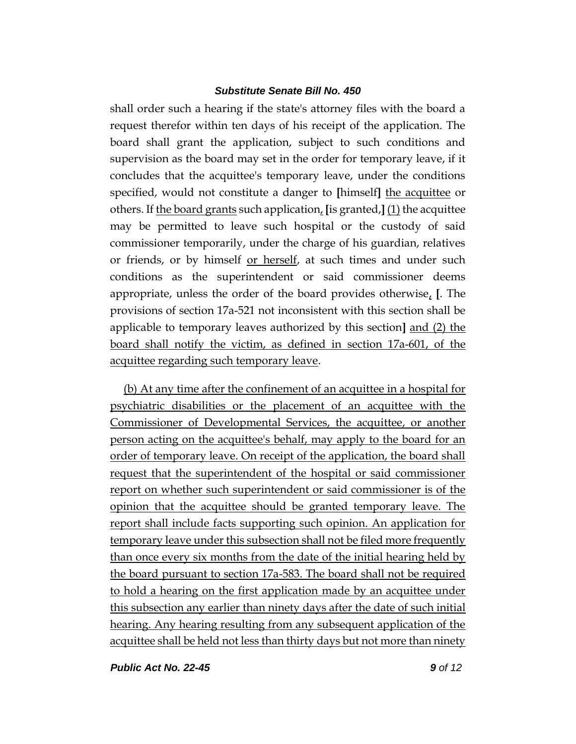shall order such a hearing if the state's attorney files with the board a request therefor within ten days of his receipt of the application. The board shall grant the application, subject to such conditions and supervision as the board may set in the order for temporary leave, if it concludes that the acquittee's temporary leave, under the conditions specified, would not constitute a danger to **[**himself**]** the acquittee or others. If the board grants such application, **[**is granted,**]** (1) the acquittee may be permitted to leave such hospital or the custody of said commissioner temporarily, under the charge of his guardian, relatives or friends, or by himself or herself, at such times and under such conditions as the superintendent or said commissioner deems appropriate, unless the order of the board provides otherwise, **[**. The provisions of section 17a-521 not inconsistent with this section shall be applicable to temporary leaves authorized by this section**]** and (2) the board shall notify the victim, as defined in section 17a-601, of the acquittee regarding such temporary leave.

(b) At any time after the confinement of an acquittee in a hospital for psychiatric disabilities or the placement of an acquittee with the Commissioner of Developmental Services, the acquittee, or another person acting on the acquittee's behalf, may apply to the board for an order of temporary leave. On receipt of the application, the board shall request that the superintendent of the hospital or said commissioner report on whether such superintendent or said commissioner is of the opinion that the acquittee should be granted temporary leave. The report shall include facts supporting such opinion. An application for temporary leave under this subsection shall not be filed more frequently than once every six months from the date of the initial hearing held by the board pursuant to section 17a-583. The board shall not be required to hold a hearing on the first application made by an acquittee under this subsection any earlier than ninety days after the date of such initial hearing. Any hearing resulting from any subsequent application of the acquittee shall be held not less than thirty days but not more than ninety

*Public Act No. 22-45 9 of 12*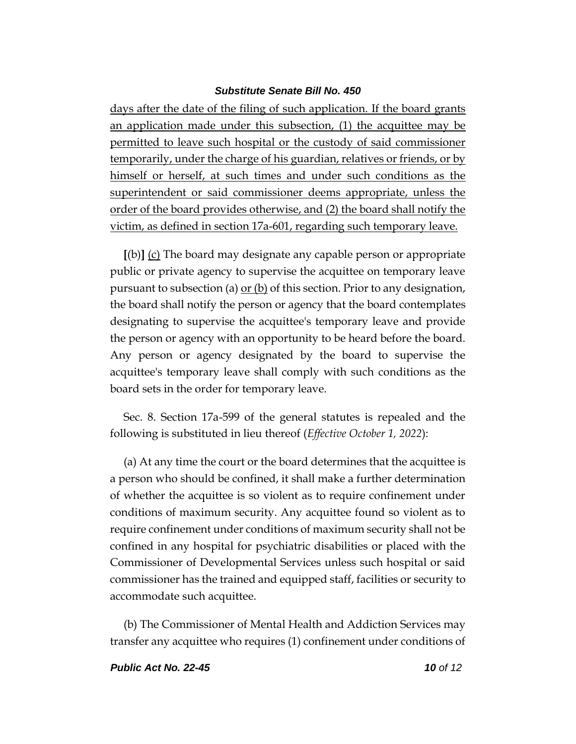days after the date of the filing of such application. If the board grants an application made under this subsection, (1) the acquittee may be permitted to leave such hospital or the custody of said commissioner temporarily, under the charge of his guardian, relatives or friends, or by himself or herself, at such times and under such conditions as the superintendent or said commissioner deems appropriate, unless the order of the board provides otherwise, and (2) the board shall notify the victim, as defined in section 17a-601, regarding such temporary leave.

**[**(b)**]** (c) The board may designate any capable person or appropriate public or private agency to supervise the acquittee on temporary leave pursuant to subsection (a)  $or (b)$  of this section. Prior to any designation,</u> the board shall notify the person or agency that the board contemplates designating to supervise the acquittee's temporary leave and provide the person or agency with an opportunity to be heard before the board. Any person or agency designated by the board to supervise the acquittee's temporary leave shall comply with such conditions as the board sets in the order for temporary leave.

Sec. 8. Section 17a-599 of the general statutes is repealed and the following is substituted in lieu thereof (*Effective October 1, 2022*):

(a) At any time the court or the board determines that the acquittee is a person who should be confined, it shall make a further determination of whether the acquittee is so violent as to require confinement under conditions of maximum security. Any acquittee found so violent as to require confinement under conditions of maximum security shall not be confined in any hospital for psychiatric disabilities or placed with the Commissioner of Developmental Services unless such hospital or said commissioner has the trained and equipped staff, facilities or security to accommodate such acquittee.

(b) The Commissioner of Mental Health and Addiction Services may transfer any acquittee who requires (1) confinement under conditions of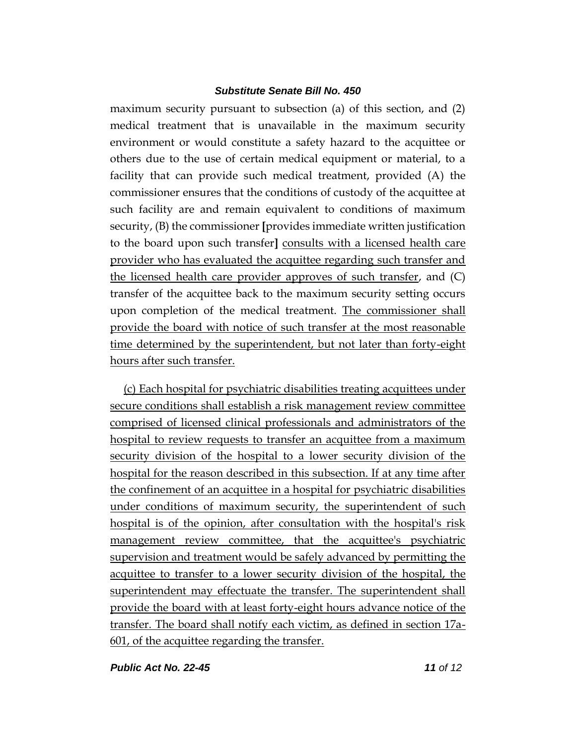maximum security pursuant to subsection (a) of this section, and (2) medical treatment that is unavailable in the maximum security environment or would constitute a safety hazard to the acquittee or others due to the use of certain medical equipment or material, to a facility that can provide such medical treatment, provided (A) the commissioner ensures that the conditions of custody of the acquittee at such facility are and remain equivalent to conditions of maximum security, (B) the commissioner **[**provides immediate written justification to the board upon such transfer**]** consults with a licensed health care provider who has evaluated the acquittee regarding such transfer and the licensed health care provider approves of such transfer, and (C) transfer of the acquittee back to the maximum security setting occurs upon completion of the medical treatment. The commissioner shall provide the board with notice of such transfer at the most reasonable time determined by the superintendent, but not later than forty-eight hours after such transfer.

(c) Each hospital for psychiatric disabilities treating acquittees under secure conditions shall establish a risk management review committee comprised of licensed clinical professionals and administrators of the hospital to review requests to transfer an acquittee from a maximum security division of the hospital to a lower security division of the hospital for the reason described in this subsection. If at any time after the confinement of an acquittee in a hospital for psychiatric disabilities under conditions of maximum security, the superintendent of such hospital is of the opinion, after consultation with the hospital's risk management review committee, that the acquittee's psychiatric supervision and treatment would be safely advanced by permitting the acquittee to transfer to a lower security division of the hospital, the superintendent may effectuate the transfer. The superintendent shall provide the board with at least forty-eight hours advance notice of the transfer. The board shall notify each victim, as defined in section 17a-601, of the acquittee regarding the transfer.

*Public Act No. 22-45 11 of 12*